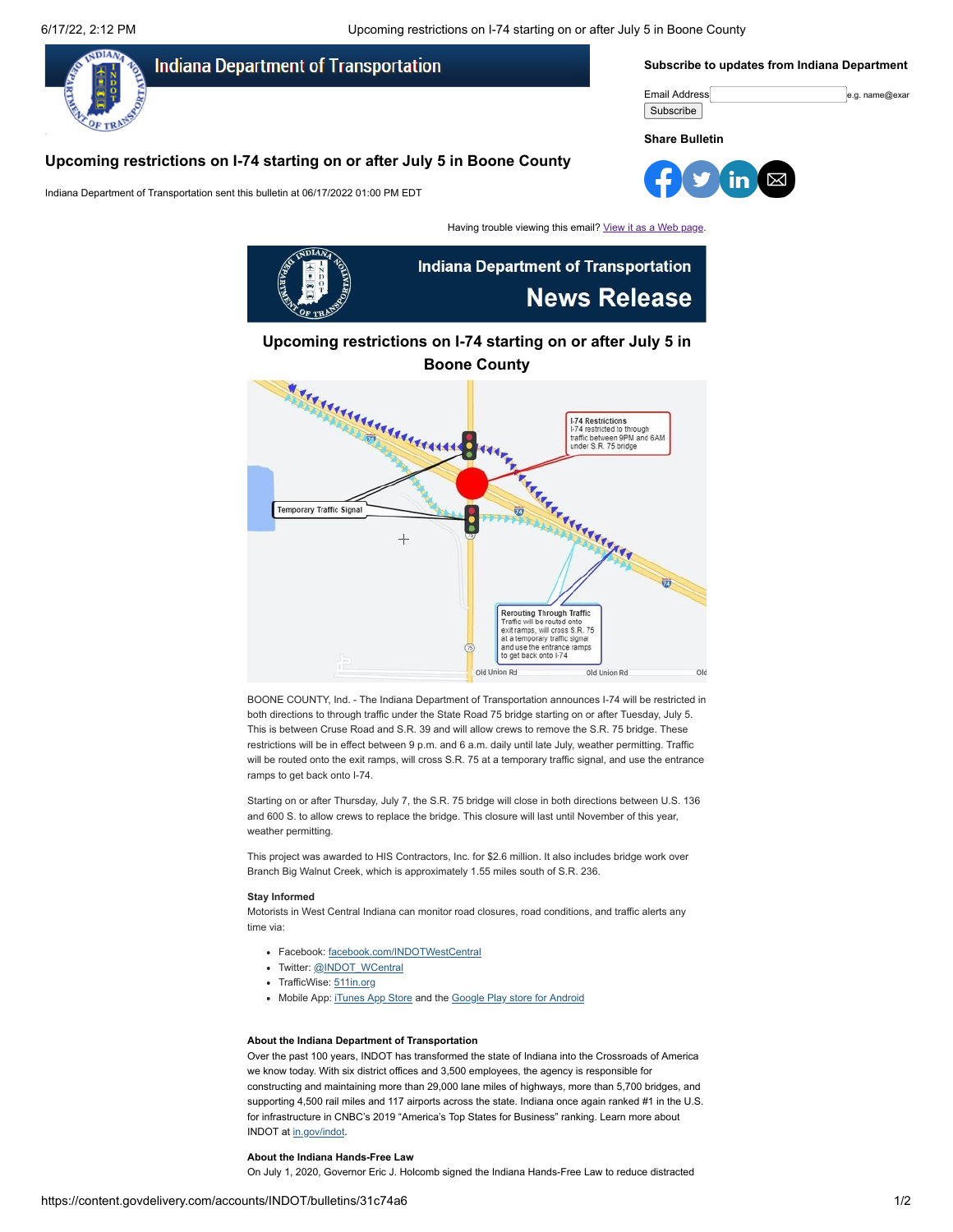6/17/22, 2:12 PM Upcoming restrictions on I-74 starting on or after July 5 in Boone County



# **Upcoming restrictions on I-74 starting on or after July 5 in**



BOONE COUNTY, Ind. - The Indiana Department of Transportation announces I-74 will be restricted in both directions to through traffic under the State Road 75 bridge starting on or after Tuesday, July 5. This is between Cruse Road and S.R. 39 and will allow crews to remove the S.R. 75 bridge. These restrictions will be in effect between 9 p.m. and 6 a.m. daily until late July, weather permitting. Traffic will be routed onto the exit ramps, will cross S.R. 75 at a temporary traffic signal, and use the entrance ramps to get back onto I-74.

Starting on or after Thursday, July 7, the S.R. 75 bridge will close in both directions between U.S. 136 and 600 S. to allow crews to replace the bridge. This closure will last until November of this year, weather permitting.

This project was awarded to HIS Contractors, Inc. for \$2.6 million. It also includes bridge work over Branch Big Walnut Creek, which is approximately 1.55 miles south of S.R. 236.

#### **Stay Informed**

Motorists in West Central Indiana can monitor road closures, road conditions, and traffic alerts any time via:

- Facebook: [facebook.com/INDOTWestCentral](https://www.facebook.com/INDOTWestCentral?utm_medium=email&utm_source=govdelivery)
- Twitter: [@INDOT\\_WCentral](https://www.twitter.com/INDOT_WCentral?utm_medium=email&utm_source=govdelivery)
- TrafficWise: [511in.org](https://511in.org/@-87.42371,40.03112,7?show=incidents%2CnormalCameras%2CweatherWarningsAreaEvents%2CplowCameras%2Cflooding&utm_medium=email&utm_source=govdelivery)
- Mobile App: [iTunes App Store](https://itunes.apple.com/us/app/indot-mobile/id1281570481?mt=8&utm_medium=email&utm_source=govdelivery) and the [Google Play store for Android](https://play.google.com/store/apps/details?id=gov.iot.indot.mobile&utm_medium=email&utm_source=govdelivery)

#### **About the Indiana Department of Transportation**

Over the past 100 years, INDOT has transformed the state of Indiana into the Crossroads of America we know today. With six district offices and 3,500 employees, the agency is responsible for constructing and maintaining more than 29,000 lane miles of highways, more than 5,700 bridges, and supporting 4,500 rail miles and 117 airports across the state. Indiana once again ranked #1 in the U.S. for infrastructure in CNBC's 2019 "America's Top States for Business" ranking. Learn more about INDOT at [in.gov/indot](http://www.in.gov/indot?utm_medium=email&utm_source=govdelivery).

#### **About the Indiana Hands-Free Law**

On July 1, 2020, Governor Eric J. Holcomb signed the Indiana Hands-Free Law to reduce distracted